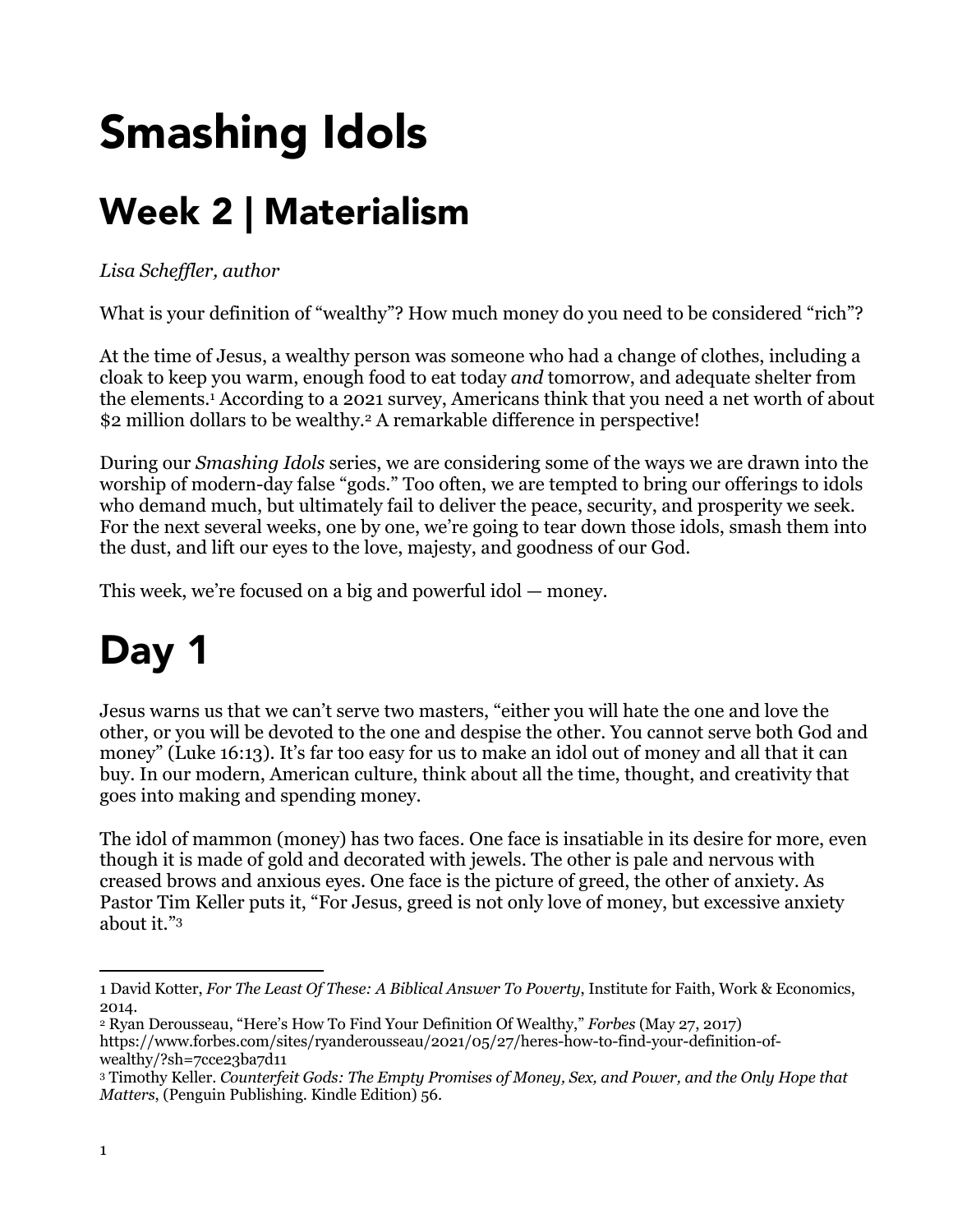# Smashing Idols

## Week 2 | Materialism

#### *Lisa Scheffler, author*

What is your definition of "wealthy"? How much money do you need to be considered "rich"?

At the time of Jesus, a wealthy person was someone who had a change of clothes, including a cloak to keep you warm, enough food to eat today *and* tomorrow, and adequate shelter from the elements.1 According to a 2021 survey, Americans think that you need a net worth of about \$2 million dollars to be wealthy.<sup>2</sup> A remarkable difference in perspective!

During our *Smashing Idols* series, we are considering some of the ways we are drawn into the worship of modern-day false "gods." Too often, we are tempted to bring our offerings to idols who demand much, but ultimately fail to deliver the peace, security, and prosperity we seek. For the next several weeks, one by one, we're going to tear down those idols, smash them into the dust, and lift our eyes to the love, majesty, and goodness of our God.

This week, we're focused on a big and powerful idol — money.

# Day 1

Jesus warns us that we can't serve two masters, "either you will hate the one and love the other, or you will be devoted to the one and despise the other. You cannot serve both God and money" (Luke 16:13). It's far too easy for us to make an idol out of money and all that it can buy. In our modern, American culture, think about all the time, thought, and creativity that goes into making and spending money.

The idol of mammon (money) has two faces. One face is insatiable in its desire for more, even though it is made of gold and decorated with jewels. The other is pale and nervous with creased brows and anxious eyes. One face is the picture of greed, the other of anxiety. As Pastor Tim Keller puts it, "For Jesus, greed is not only love of money, but excessive anxiety about it."3

<sup>1</sup> David Kotter, *For The Least Of These: A Biblical Answer To Poverty*, Institute for Faith, Work & Economics, 2014.

<sup>2</sup> Ryan Derousseau, "Here's How To Find Your Definition Of Wealthy," *Forbes* (May 27, 2017) https://www.forbes.com/sites/ryanderousseau/2021/05/27/heres-how-to-find-your-definition-ofwealthy/?sh=7cce23ba7d11

<sup>3</sup> Timothy Keller. *Counterfeit Gods: The Empty Promises of Money, Sex, and Power, and the Only Hope that Matters*, (Penguin Publishing. Kindle Edition) 56.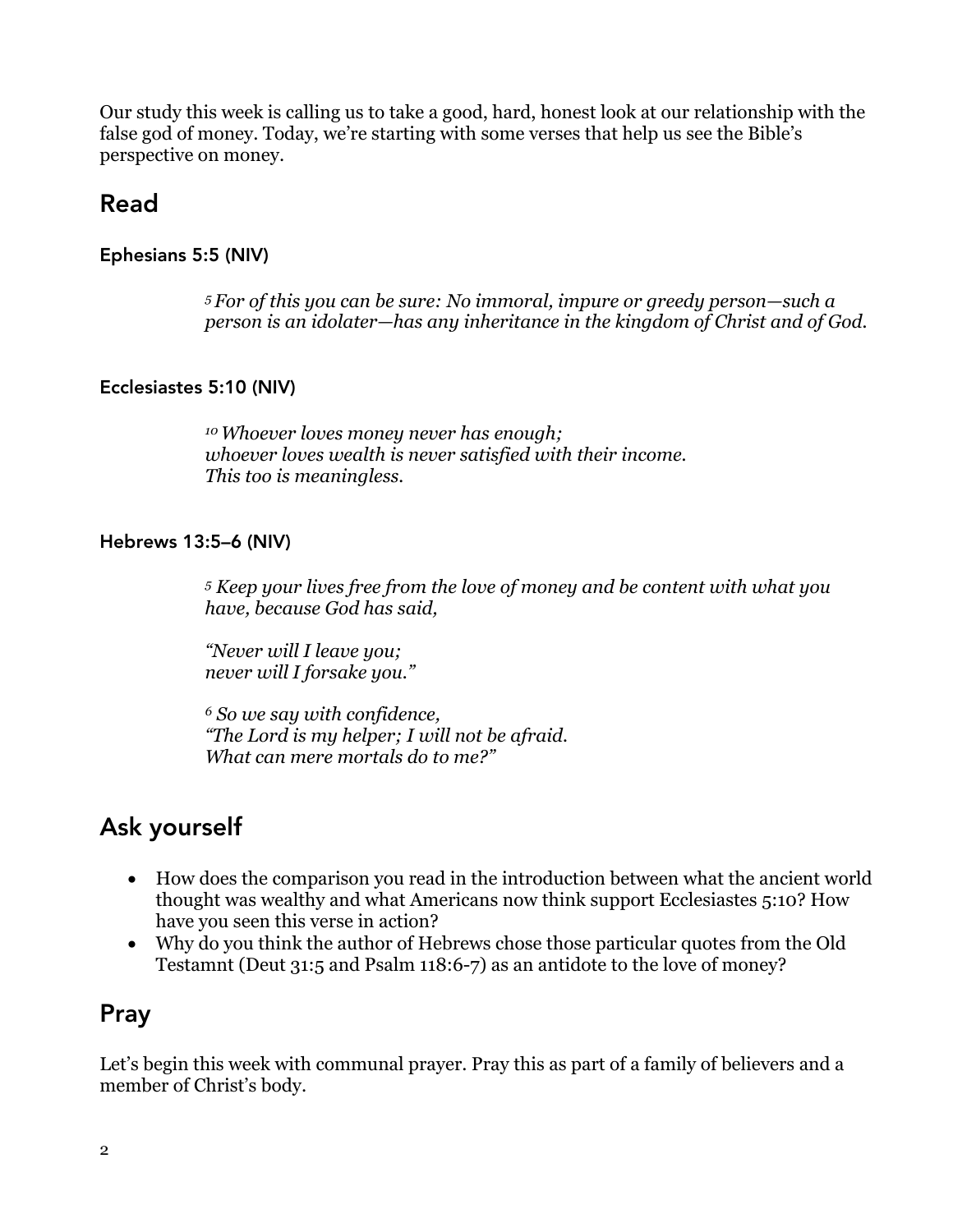Our study this week is calling us to take a good, hard, honest look at our relationship with the false god of money. Today, we're starting with some verses that help us see the Bible's perspective on money.

### Read

#### Ephesians 5:5 (NIV)

*<sup>5</sup> For of this you can be sure: No immoral, impure or greedy person—such a person is an idolater—has any inheritance in the kingdom of Christ and of God.*

#### Ecclesiastes 5:10 (NIV)

*<sup>10</sup> Whoever loves money never has enough; whoever loves wealth is never satisfied with their income. This too is meaningless.*

#### Hebrews 13:5–6 (NIV)

*<sup>5</sup> Keep your lives free from the love of money and be content with what you have, because God has said,* 

*"Never will I leave you; never will I forsake you."*

*<sup>6</sup> So we say with confidence, "The Lord is my helper; I will not be afraid. What can mere mortals do to me?"*

## Ask yourself

- How does the comparison you read in the introduction between what the ancient world thought was wealthy and what Americans now think support Ecclesiastes 5:10? How have you seen this verse in action?
- Why do you think the author of Hebrews chose those particular quotes from the Old Testamnt (Deut 31:5 and Psalm 118:6-7) as an antidote to the love of money?

### Pray

Let's begin this week with communal prayer. Pray this as part of a family of believers and a member of Christ's body.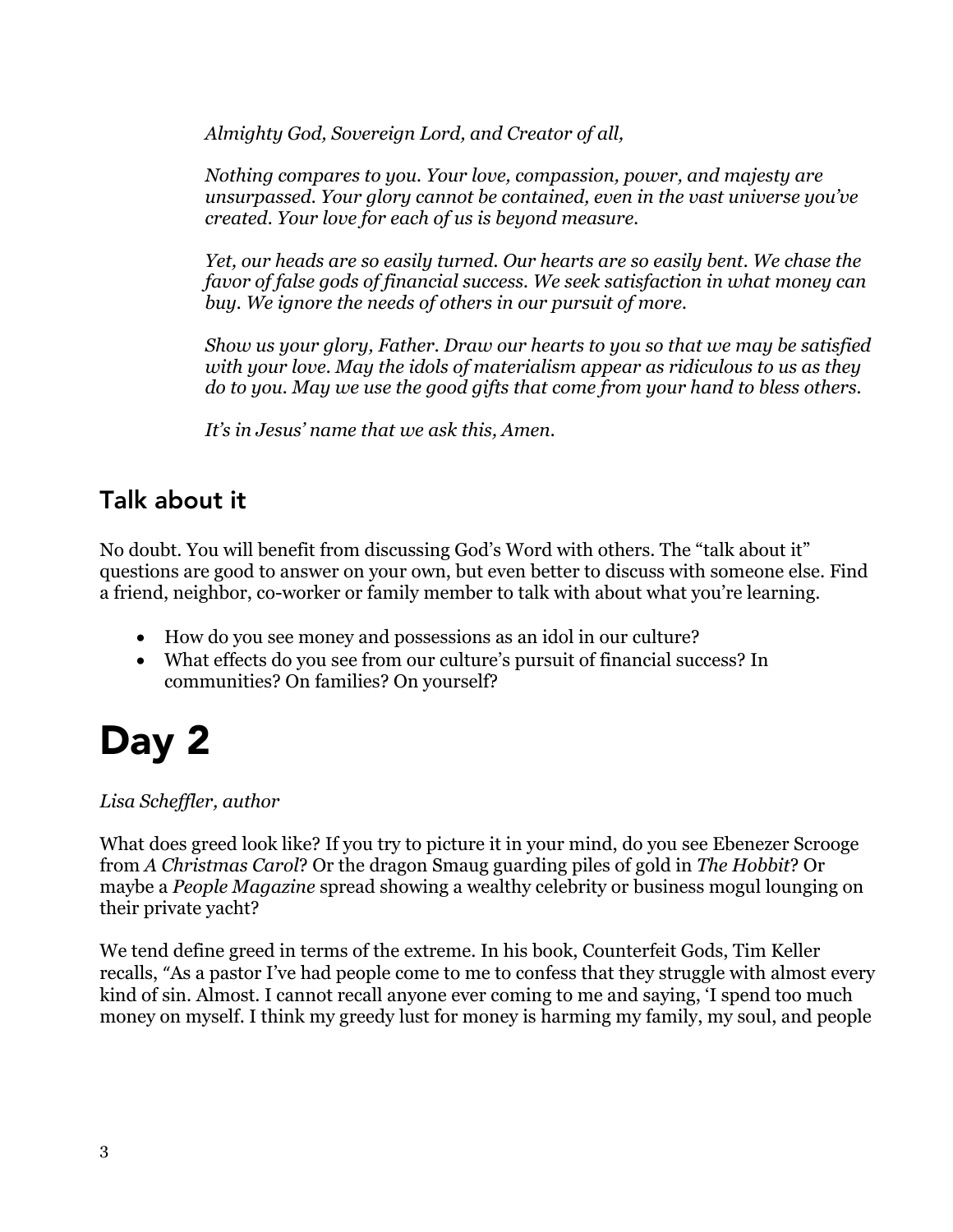*Almighty God, Sovereign Lord, and Creator of all,* 

*Nothing compares to you. Your love, compassion, power, and majesty are unsurpassed. Your glory cannot be contained, even in the vast universe you've created. Your love for each of us is beyond measure.*

*Yet, our heads are so easily turned. Our hearts are so easily bent. We chase the favor of false gods of financial success. We seek satisfaction in what money can buy. We ignore the needs of others in our pursuit of more.* 

*Show us your glory, Father. Draw our hearts to you so that we may be satisfied with your love. May the idols of materialism appear as ridiculous to us as they do to you. May we use the good gifts that come from your hand to bless others.*

*It's in Jesus' name that we ask this, Amen.*

## Talk about it

No doubt. You will benefit from discussing God's Word with others. The "talk about it" questions are good to answer on your own, but even better to discuss with someone else. Find a friend, neighbor, co-worker or family member to talk with about what you're learning.

- How do you see money and possessions as an idol in our culture?
- What effects do you see from our culture's pursuit of financial success? In communities? On families? On yourself?

## Day 2

*Lisa Scheffler, author*

What does greed look like? If you try to picture it in your mind, do you see Ebenezer Scrooge from *A Christmas Carol*? Or the dragon Smaug guarding piles of gold in *The Hobbit*? Or maybe a *People Magazine* spread showing a wealthy celebrity or business mogul lounging on their private yacht?

We tend define greed in terms of the extreme. In his book, Counterfeit Gods, Tim Keller recalls, "As a pastor I've had people come to me to confess that they struggle with almost every kind of sin. Almost. I cannot recall anyone ever coming to me and saying, 'I spend too much money on myself. I think my greedy lust for money is harming my family, my soul, and people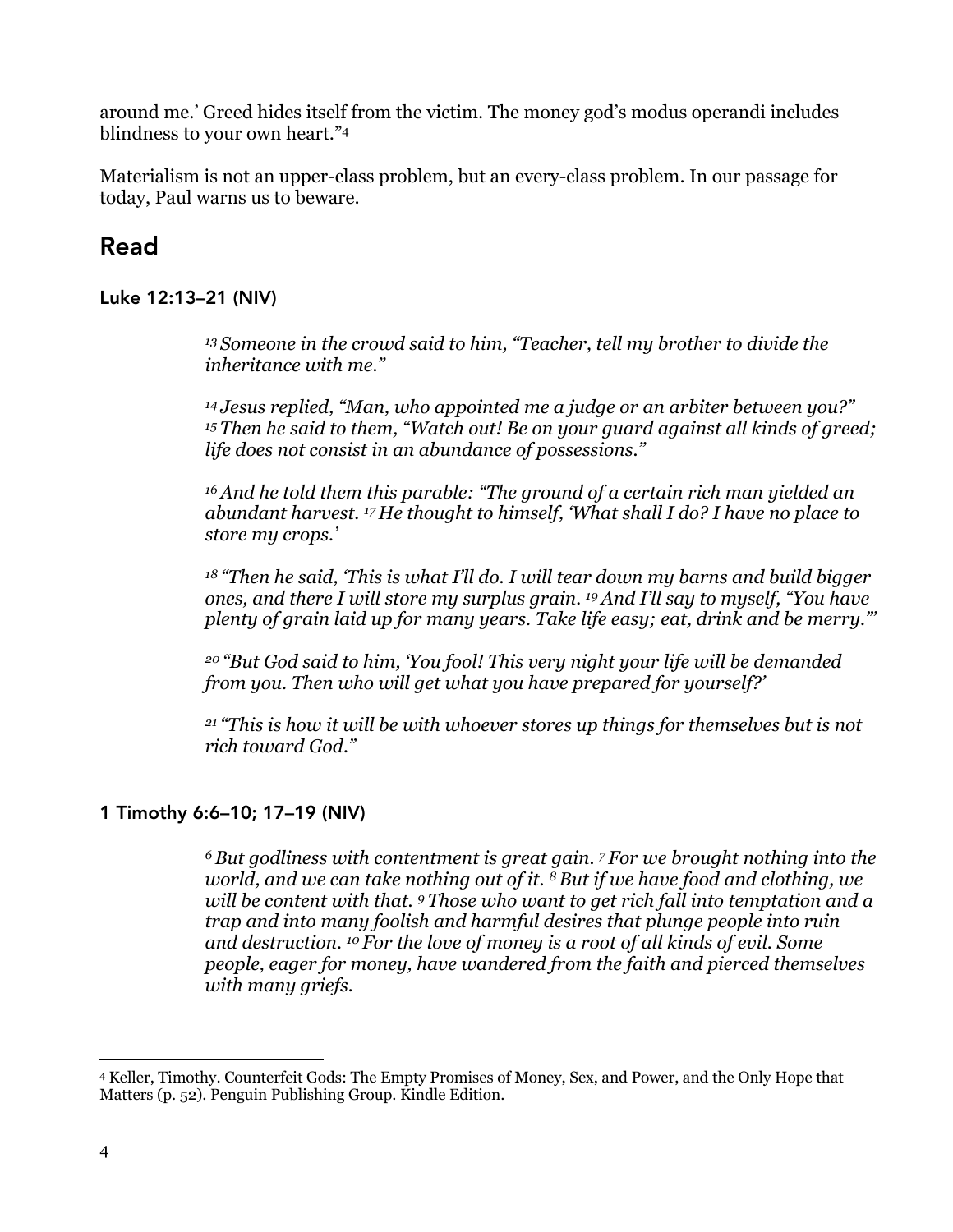around me.' Greed hides itself from the victim. The money god's modus operandi includes blindness to your own heart."4

Materialism is not an upper-class problem, but an every-class problem. In our passage for today, Paul warns us to beware.

## Read

#### Luke 12:13–21 (NIV)

*<sup>13</sup> Someone in the crowd said to him, "Teacher, tell my brother to divide the inheritance with me."* 

*<sup>14</sup> Jesus replied, "Man, who appointed me a judge or an arbiter between you?" <sup>15</sup> Then he said to them, "Watch out! Be on your guard against all kinds of greed; life does not consist in an abundance of possessions."* 

*16And he told them this parable: "The ground of a certain rich man yielded an abundant harvest. 17 He thought to himself, 'What shall I do? I have no place to store my crops.'*

*<sup>18</sup> "Then he said, 'This is what I'll do. I will tear down my barns and build bigger ones, and there I will store my surplus grain. 19And I'll say to myself, "You have plenty of grain laid up for many years. Take life easy; eat, drink and be merry."'*

*<sup>20</sup> "But God said to him, 'You fool! This very night your life will be demanded from you. Then who will get what you have prepared for yourself?'* 

*<sup>21</sup> "This is how it will be with whoever stores up things for themselves but is not rich toward God."*

#### 1 Timothy 6:6–10; 17–19 (NIV)

*<sup>6</sup> But godliness with contentment is great gain. 7 For we brought nothing into the world, and we can take nothing out of it. 8 But if we have food and clothing, we will be content with that. 9 Those who want to get rich fall into temptation and a trap and into many foolish and harmful desires that plunge people into ruin and destruction. 10 For the love of money is a root of all kinds of evil. Some people, eager for money, have wandered from the faith and pierced themselves with many griefs.*

<sup>4</sup> Keller, Timothy. Counterfeit Gods: The Empty Promises of Money, Sex, and Power, and the Only Hope that Matters (p. 52). Penguin Publishing Group. Kindle Edition.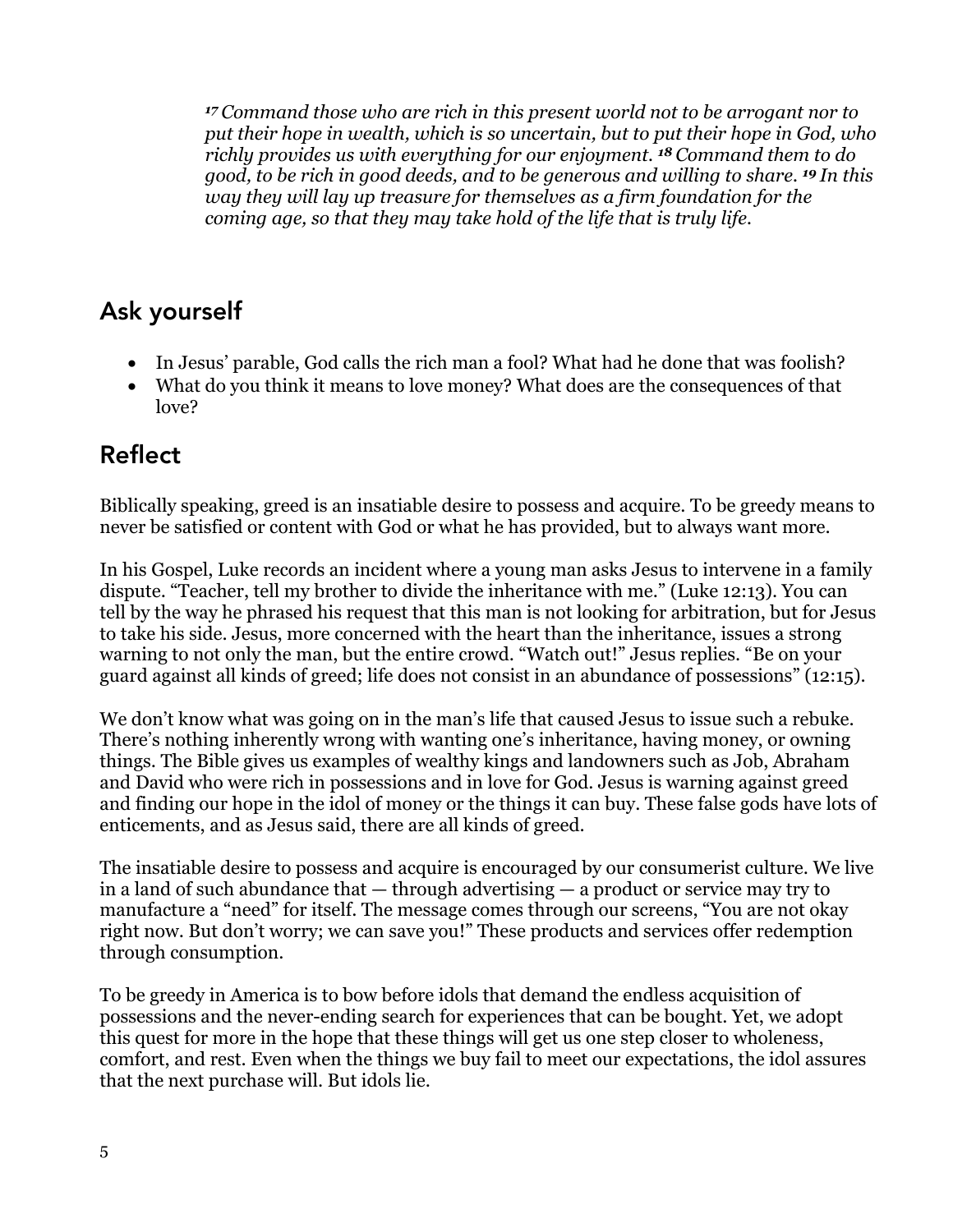*<sup>17</sup> Command those who are rich in this present world not to be arrogant nor to put their hope in wealth, which is so uncertain, but to put their hope in God, who richly provides us with everything for our enjoyment. <sup>18</sup> Command them to do good, to be rich in good deeds, and to be generous and willing to share. <sup>19</sup> In this way they will lay up treasure for themselves as a firm foundation for the coming age, so that they may take hold of the life that is truly life.*

## Ask yourself

- In Jesus' parable, God calls the rich man a fool? What had he done that was foolish?
- What do you think it means to love money? What does are the consequences of that love?

## Reflect

Biblically speaking, greed is an insatiable desire to possess and acquire. To be greedy means to never be satisfied or content with God or what he has provided, but to always want more.

In his Gospel, Luke records an incident where a young man asks Jesus to intervene in a family dispute. "Teacher, tell my brother to divide the inheritance with me." (Luke 12:13). You can tell by the way he phrased his request that this man is not looking for arbitration, but for Jesus to take his side. Jesus, more concerned with the heart than the inheritance, issues a strong warning to not only the man, but the entire crowd. "Watch out!" Jesus replies. "Be on your guard against all kinds of greed; life does not consist in an abundance of possessions" (12:15).

We don't know what was going on in the man's life that caused Jesus to issue such a rebuke. There's nothing inherently wrong with wanting one's inheritance, having money, or owning things. The Bible gives us examples of wealthy kings and landowners such as Job, Abraham and David who were rich in possessions and in love for God. Jesus is warning against greed and finding our hope in the idol of money or the things it can buy. These false gods have lots of enticements, and as Jesus said, there are all kinds of greed.

The insatiable desire to possess and acquire is encouraged by our consumerist culture. We live in a land of such abundance that — through advertising — a product or service may try to manufacture a "need" for itself. The message comes through our screens, "You are not okay right now. But don't worry; we can save you!" These products and services offer redemption through consumption.

To be greedy in America is to bow before idols that demand the endless acquisition of possessions and the never-ending search for experiences that can be bought. Yet, we adopt this quest for more in the hope that these things will get us one step closer to wholeness, comfort, and rest. Even when the things we buy fail to meet our expectations, the idol assures that the next purchase will. But idols lie.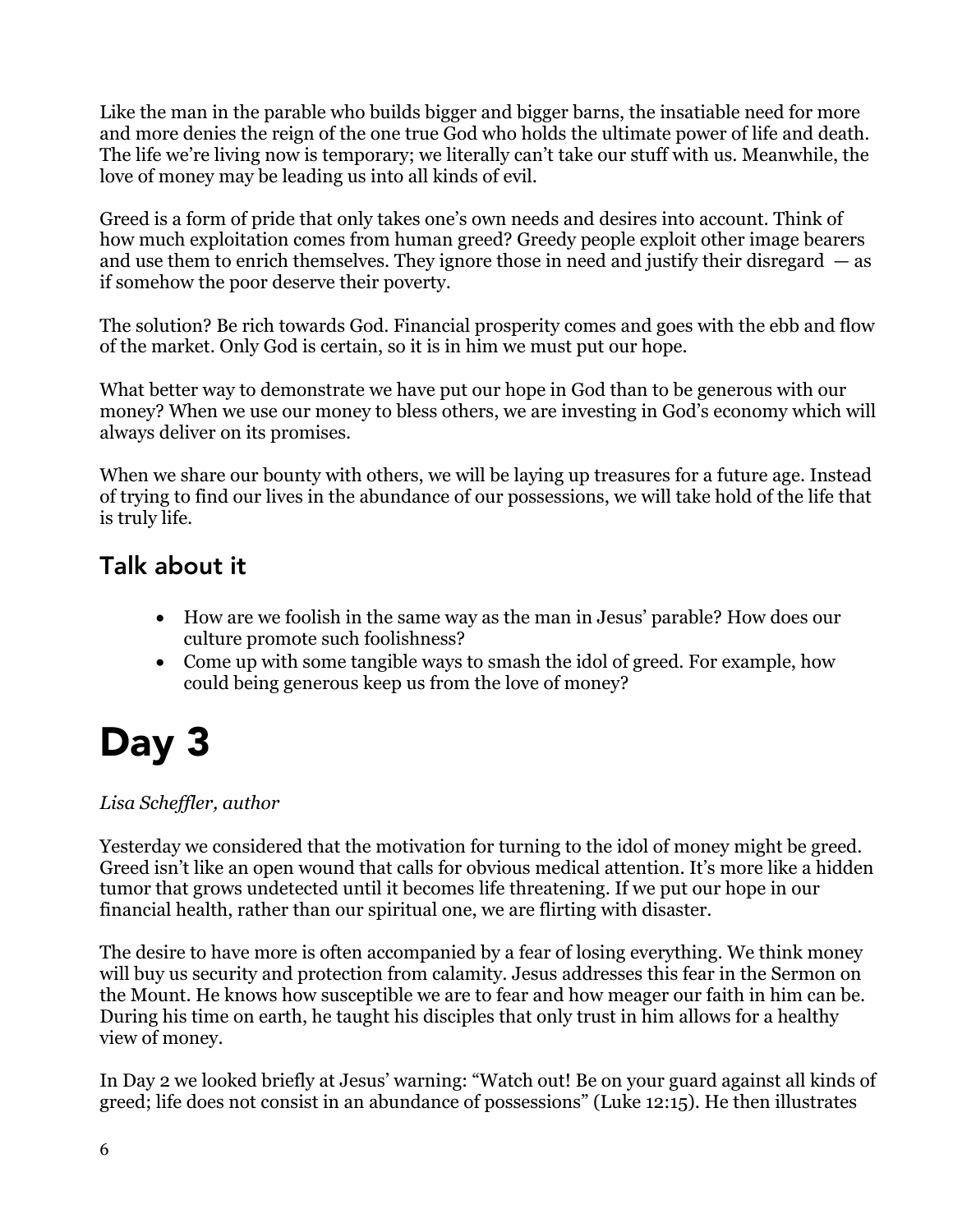Like the man in the parable who builds bigger and bigger barns, the insatiable need for more and more denies the reign of the one true God who holds the ultimate power of life and death. The life we're living now is temporary; we literally can't take our stuff with us. Meanwhile, the love of money may be leading us into all kinds of evil.

Greed is a form of pride that only takes one's own needs and desires into account. Think of how much exploitation comes from human greed? Greedy people exploit other image bearers and use them to enrich themselves. They ignore those in need and justify their disregard — as if somehow the poor deserve their poverty.

The solution? Be rich towards God. Financial prosperity comes and goes with the ebb and flow of the market. Only God is certain, so it is in him we must put our hope.

What better way to demonstrate we have put our hope in God than to be generous with our money? When we use our money to bless others, we are investing in God's economy which will always deliver on its promises.

When we share our bounty with others, we will be laying up treasures for a future age. Instead of trying to find our lives in the abundance of our possessions, we will take hold of the life that is truly life.

## Talk about it

- How are we foolish in the same way as the man in Jesus' parable? How does our culture promote such foolishness?
- Come up with some tangible ways to smash the idol of greed. For example, how could being generous keep us from the love of money?

## Day 3

#### *Lisa Scheffler, author*

Yesterday we considered that the motivation for turning to the idol of money might be greed. Greed isn't like an open wound that calls for obvious medical attention. It's more like a hidden tumor that grows undetected until it becomes life threatening. If we put our hope in our financial health, rather than our spiritual one, we are flirting with disaster.

The desire to have more is often accompanied by a fear of losing everything. We think money will buy us security and protection from calamity. Jesus addresses this fear in the Sermon on the Mount. He knows how susceptible we are to fear and how meager our faith in him can be. During his time on earth, he taught his disciples that only trust in him allows for a healthy view of money.

In Day 2 we looked briefly at Jesus' warning: "Watch out! Be on your guard against all kinds of greed; life does not consist in an abundance of possessions" (Luke 12:15). He then illustrates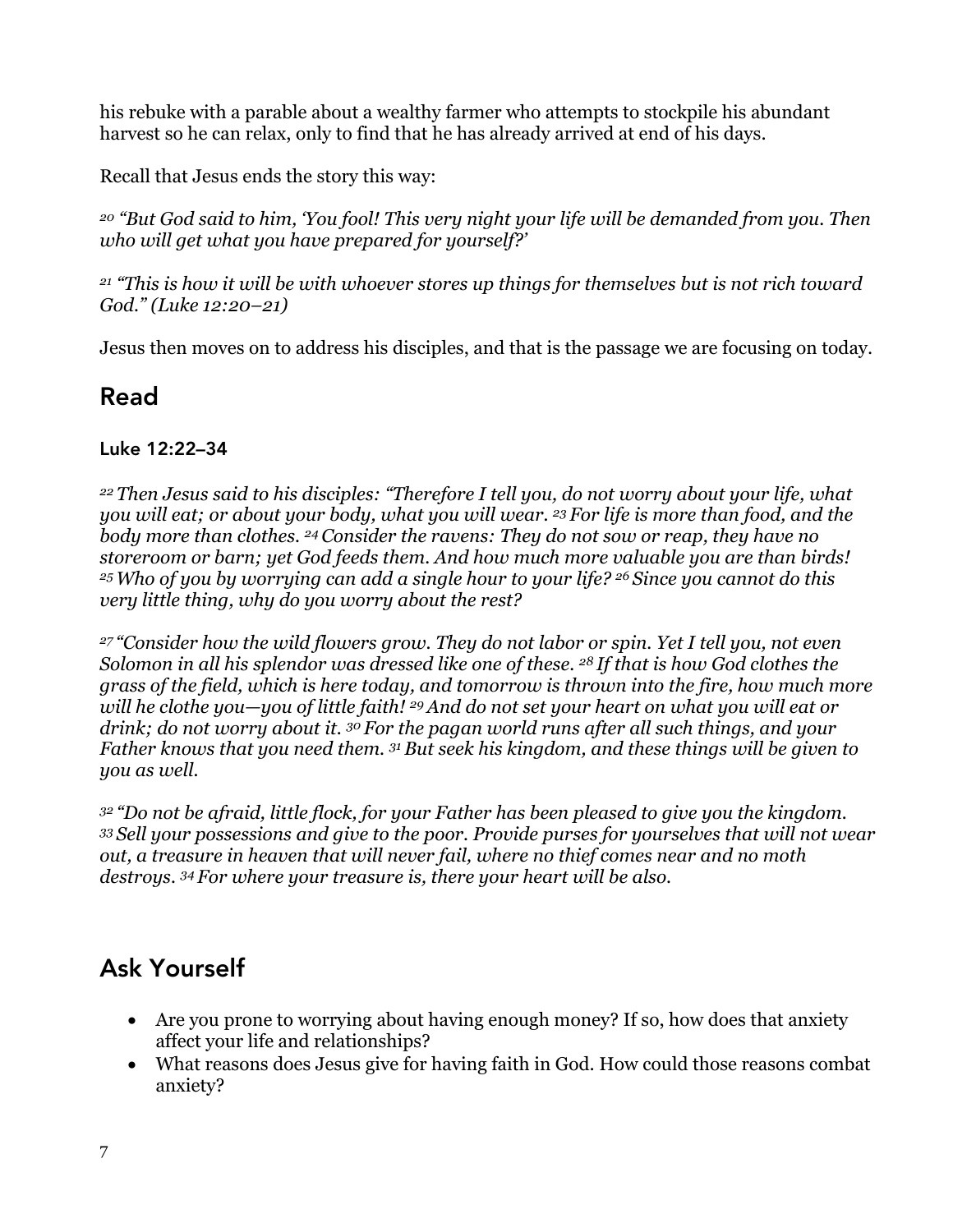his rebuke with a parable about a wealthy farmer who attempts to stockpile his abundant harvest so he can relax, only to find that he has already arrived at end of his days.

Recall that Jesus ends the story this way:

*<sup>20</sup> "But God said to him, 'You fool! This very night your life will be demanded from you. Then who will get what you have prepared for yourself?'* 

*<sup>21</sup> "This is how it will be with whoever stores up things for themselves but is not rich toward God." (Luke 12:20–21)*

Jesus then moves on to address his disciples, and that is the passage we are focusing on today.

## Read

#### Luke 12:22–34

*<sup>22</sup> Then Jesus said to his disciples: "Therefore I tell you, do not worry about your life, what you will eat; or about your body, what you will wear. 23 For life is more than food, and the body more than clothes. 24 Consider the ravens: They do not sow or reap, they have no storeroom or barn; yet God feeds them. And how much more valuable you are than birds! <sup>25</sup> Who of you by worrying can add a single hour to your life? 26 Since you cannot do this very little thing, why do you worry about the rest?* 

*<sup>27</sup> "Consider how the wild flowers grow. They do not labor or spin. Yet I tell you, not even Solomon in all his splendor was dressed like one of these. 28 If that is how God clothes the grass of the field, which is here today, and tomorrow is thrown into the fire, how much more will he clothe you—you of little faith! 29And do not set your heart on what you will eat or drink; do not worry about it. 30 For the pagan world runs after all such things, and your Father knows that you need them. 31But seek his kingdom, and these things will be given to you as well.* 

*<sup>32</sup> "Do not be afraid, little flock, for your Father has been pleased to give you the kingdom. <sup>33</sup> Sell your possessions and give to the poor. Provide purses for yourselves that will not wear out, a treasure in heaven that will never fail, where no thief comes near and no moth destroys. 34 For where your treasure is, there your heart will be also.*

## Ask Yourself

- Are you prone to worrying about having enough money? If so, how does that anxiety affect your life and relationships?
- What reasons does Jesus give for having faith in God. How could those reasons combat anxiety?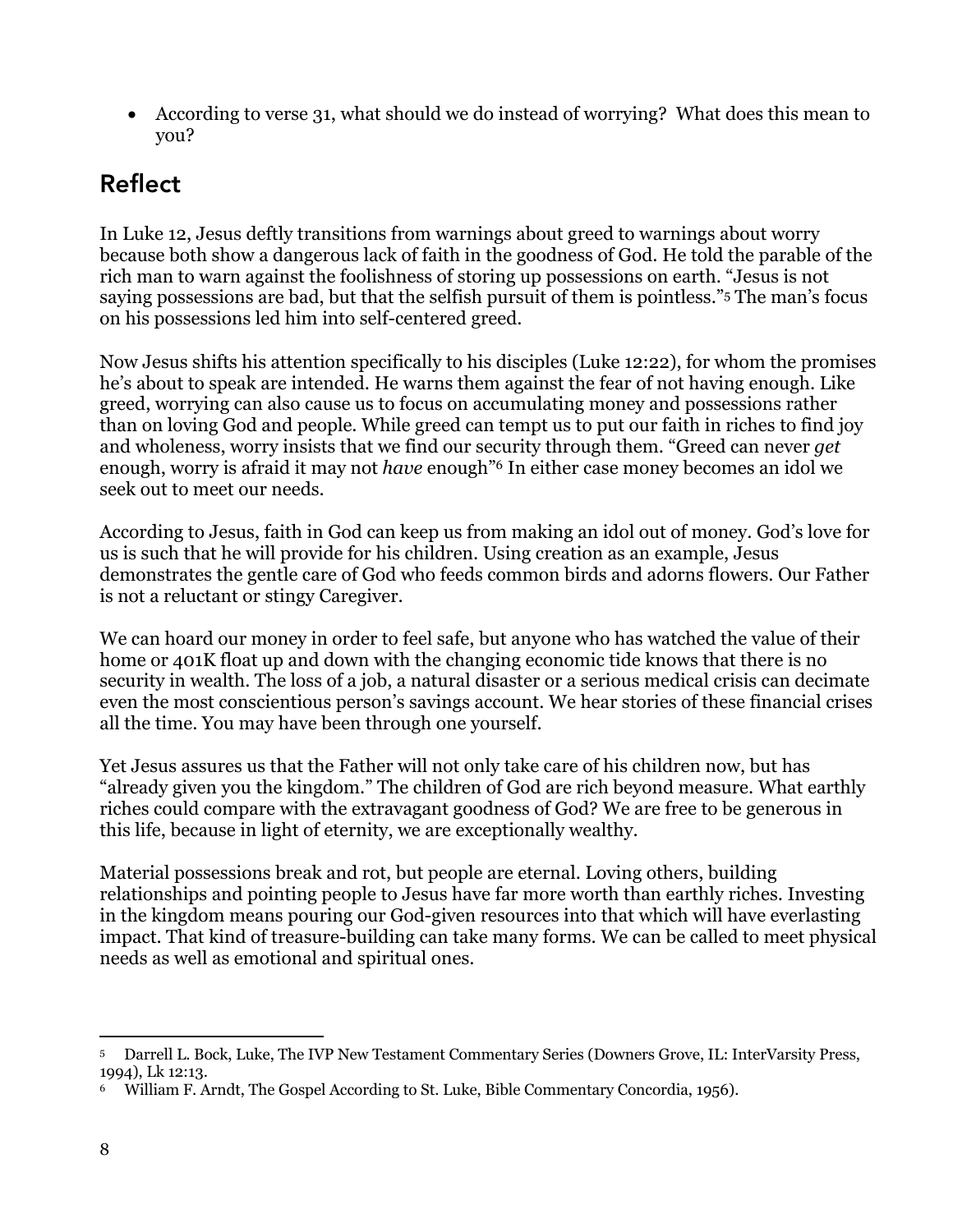• According to verse 31, what should we do instead of worrying? What does this mean to you?

## Reflect

In Luke 12, Jesus deftly transitions from warnings about greed to warnings about worry because both show a dangerous lack of faith in the goodness of God. He told the parable of the rich man to warn against the foolishness of storing up possessions on earth. "Jesus is not saying possessions are bad, but that the selfish pursuit of them is pointless."5 The man's focus on his possessions led him into self-centered greed.

Now Jesus shifts his attention specifically to his disciples (Luke 12:22), for whom the promises he's about to speak are intended. He warns them against the fear of not having enough. Like greed, worrying can also cause us to focus on accumulating money and possessions rather than on loving God and people. While greed can tempt us to put our faith in riches to find joy and wholeness, worry insists that we find our security through them. "Greed can never *get* enough, worry is afraid it may not *have* enough"6 In either case money becomes an idol we seek out to meet our needs.

According to Jesus, faith in God can keep us from making an idol out of money. God's love for us is such that he will provide for his children. Using creation as an example, Jesus demonstrates the gentle care of God who feeds common birds and adorns flowers. Our Father is not a reluctant or stingy Caregiver.

We can hoard our money in order to feel safe, but anyone who has watched the value of their home or 401K float up and down with the changing economic tide knows that there is no security in wealth. The loss of a job, a natural disaster or a serious medical crisis can decimate even the most conscientious person's savings account. We hear stories of these financial crises all the time. You may have been through one yourself.

Yet Jesus assures us that the Father will not only take care of his children now, but has "already given you the kingdom." The children of God are rich beyond measure. What earthly riches could compare with the extravagant goodness of God? We are free to be generous in this life, because in light of eternity, we are exceptionally wealthy.

Material possessions break and rot, but people are eternal. Loving others, building relationships and pointing people to Jesus have far more worth than earthly riches. Investing in the kingdom means pouring our God-given resources into that which will have everlasting impact. That kind of treasure-building can take many forms. We can be called to meet physical needs as well as emotional and spiritual ones.

<sup>5</sup> Darrell L. Bock, Luke, The IVP New Testament Commentary Series (Downers Grove, IL: InterVarsity Press, 1994), Lk 12:13.

<sup>6</sup> William F. Arndt, The Gospel According to St. Luke, Bible Commentary Concordia, 1956).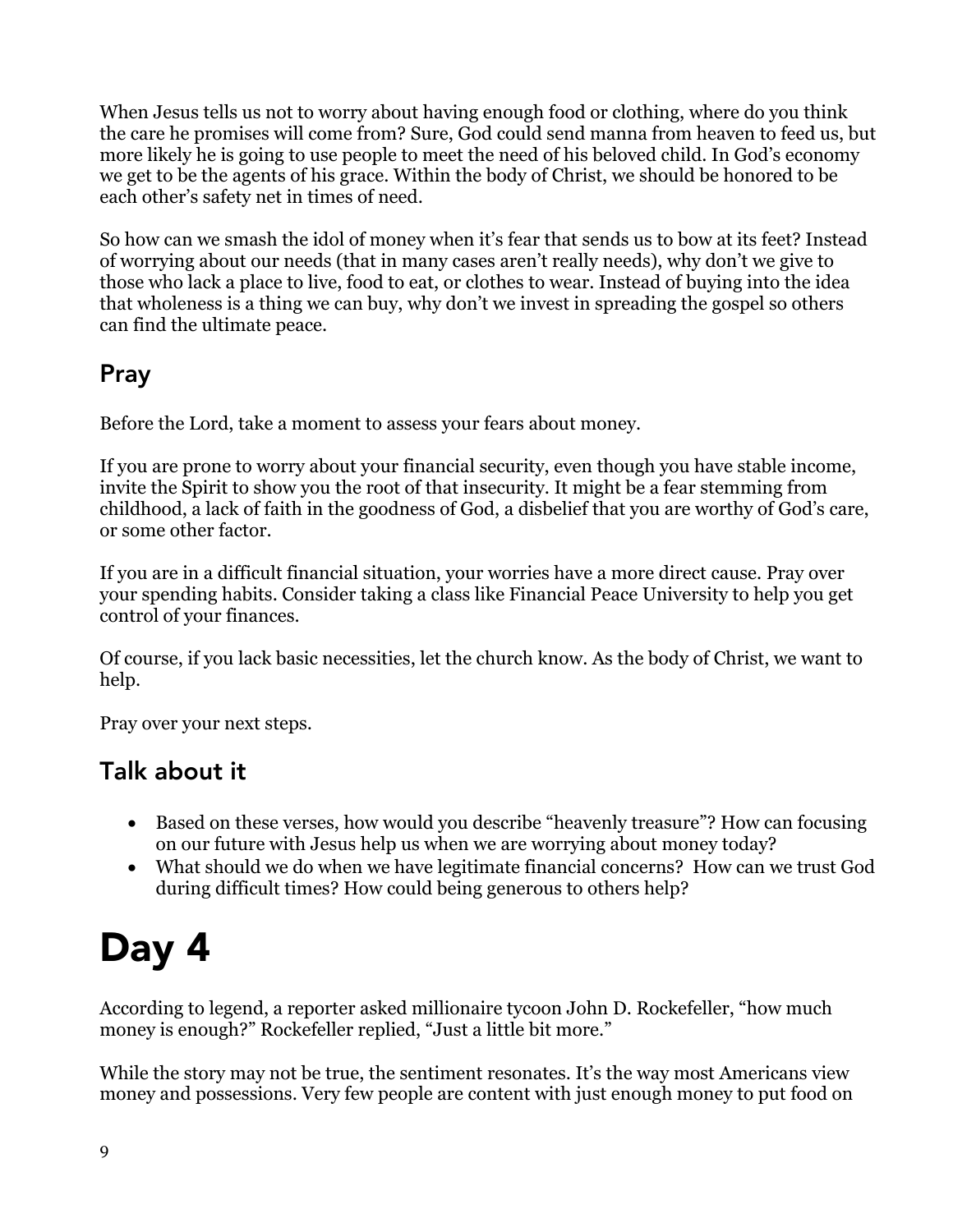When Jesus tells us not to worry about having enough food or clothing, where do you think the care he promises will come from? Sure, God could send manna from heaven to feed us, but more likely he is going to use people to meet the need of his beloved child. In God's economy we get to be the agents of his grace. Within the body of Christ, we should be honored to be each other's safety net in times of need.

So how can we smash the idol of money when it's fear that sends us to bow at its feet? Instead of worrying about our needs (that in many cases aren't really needs), why don't we give to those who lack a place to live, food to eat, or clothes to wear. Instead of buying into the idea that wholeness is a thing we can buy, why don't we invest in spreading the gospel so others can find the ultimate peace.

## Pray

Before the Lord, take a moment to assess your fears about money.

If you are prone to worry about your financial security, even though you have stable income, invite the Spirit to show you the root of that insecurity. It might be a fear stemming from childhood, a lack of faith in the goodness of God, a disbelief that you are worthy of God's care, or some other factor.

If you are in a difficult financial situation, your worries have a more direct cause. Pray over your spending habits. Consider taking a class like Financial Peace University to help you get control of your finances.

Of course, if you lack basic necessities, let the church know. As the body of Christ, we want to help.

Pray over your next steps.

## Talk about it

- Based on these verses, how would you describe "heavenly treasure"? How can focusing on our future with Jesus help us when we are worrying about money today?
- What should we do when we have legitimate financial concerns? How can we trust God during difficult times? How could being generous to others help?

## Day 4

According to legend, a reporter asked millionaire tycoon John D. Rockefeller, "how much money is enough?" Rockefeller replied, "Just a little bit more."

While the story may not be true, the sentiment resonates. It's the way most Americans view money and possessions. Very few people are content with just enough money to put food on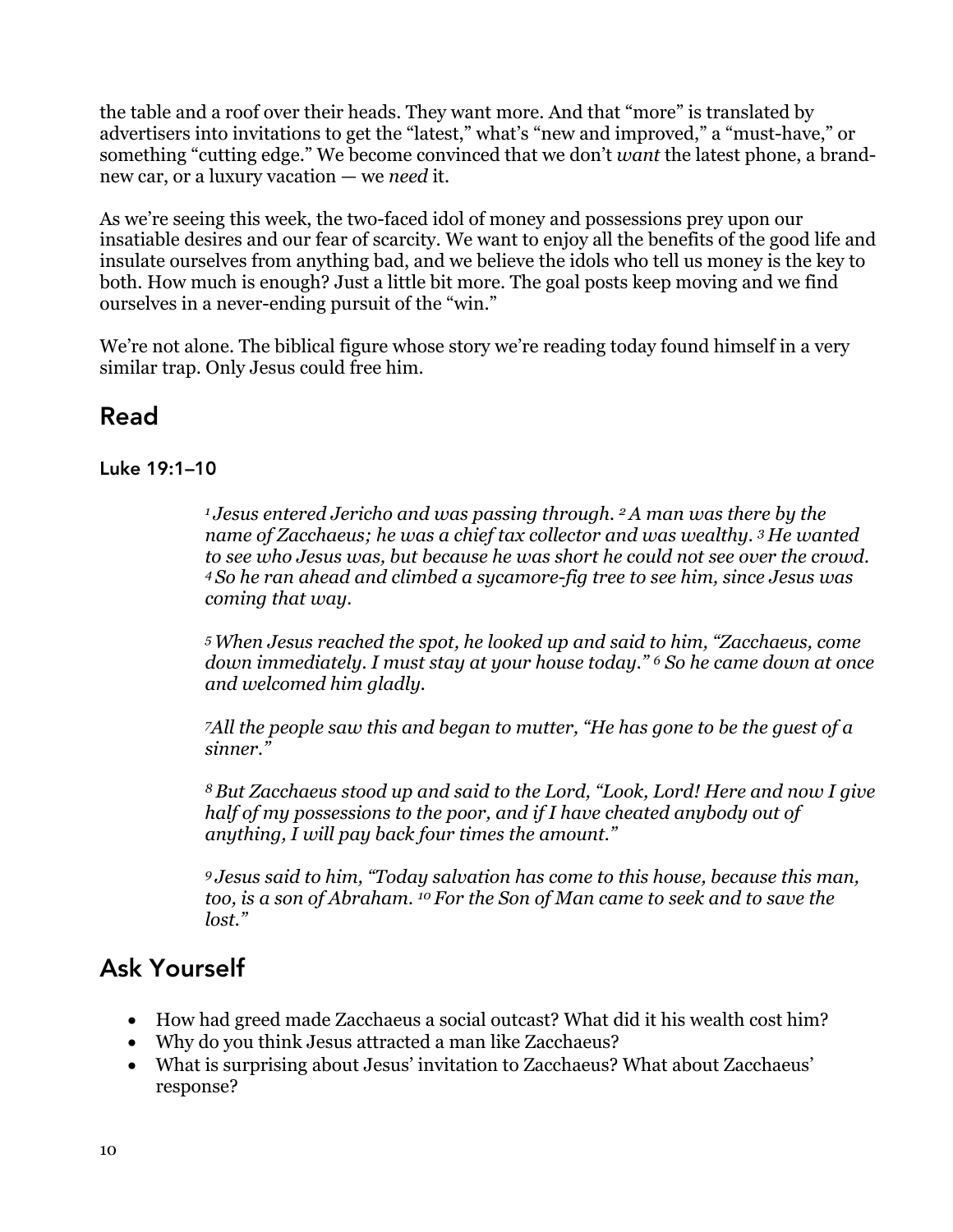the table and a roof over their heads. They want more. And that "more" is translated by advertisers into invitations to get the "latest," what's "new and improved," a "must-have," or something "cutting edge." We become convinced that we don't *want* the latest phone, a brandnew car, or a luxury vacation — we *need* it.

As we're seeing this week, the two-faced idol of money and possessions prey upon our insatiable desires and our fear of scarcity. We want to enjoy all the benefits of the good life and insulate ourselves from anything bad, and we believe the idols who tell us money is the key to both. How much is enough? Just a little bit more. The goal posts keep moving and we find ourselves in a never-ending pursuit of the "win."

We're not alone. The biblical figure whose story we're reading today found himself in a very similar trap. Only Jesus could free him.

### Read

#### Luke 19:1–10

*1 Jesus entered Jericho and was passing through. 2 A man was there by the name of Zacchaeus; he was a chief tax collector and was wealthy. 3 He wanted to see who Jesus was, but because he was short he could not see over the crowd. 4 So he ran ahead and climbed a sycamore-fig tree to see him, since Jesus was coming that way.* 

*5 When Jesus reached the spot, he looked up and said to him, "Zacchaeus, come down immediately. I must stay at your house today." 6 So he came down at once and welcomed him gladly.* 

*7All the people saw this and began to mutter, "He has gone to be the guest of a sinner."* 

*8 But Zacchaeus stood up and said to the Lord, "Look, Lord! Here and now I give half of my possessions to the poor, and if I have cheated anybody out of anything, I will pay back four times the amount."* 

*9 Jesus said to him, "Today salvation has come to this house, because this man, too, is a son of Abraham. 10 For the Son of Man came to seek and to save the lost."* 

## Ask Yourself

- How had greed made Zacchaeus a social outcast? What did it his wealth cost him?
- Why do you think Jesus attracted a man like Zacchaeus?
- What is surprising about Jesus' invitation to Zacchaeus? What about Zacchaeus' response?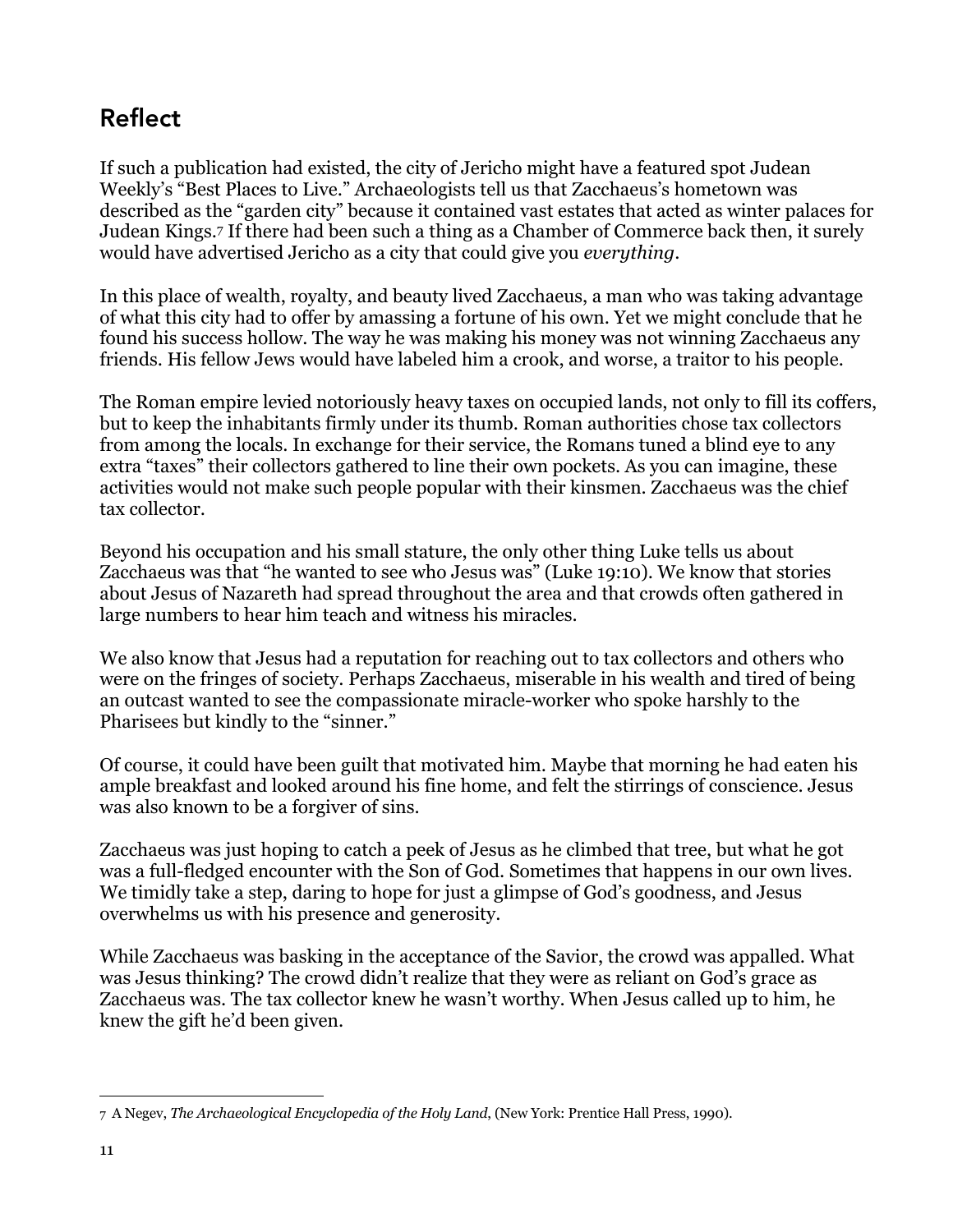## Reflect

If such a publication had existed, the city of Jericho might have a featured spot Judean Weekly's "Best Places to Live." Archaeologists tell us that Zacchaeus's hometown was described as the "garden city" because it contained vast estates that acted as winter palaces for Judean Kings.7 If there had been such a thing as a Chamber of Commerce back then, it surely would have advertised Jericho as a city that could give you *everything*.

In this place of wealth, royalty, and beauty lived Zacchaeus, a man who was taking advantage of what this city had to offer by amassing a fortune of his own. Yet we might conclude that he found his success hollow. The way he was making his money was not winning Zacchaeus any friends. His fellow Jews would have labeled him a crook, and worse, a traitor to his people.

The Roman empire levied notoriously heavy taxes on occupied lands, not only to fill its coffers, but to keep the inhabitants firmly under its thumb. Roman authorities chose tax collectors from among the locals. In exchange for their service, the Romans tuned a blind eye to any extra "taxes" their collectors gathered to line their own pockets. As you can imagine, these activities would not make such people popular with their kinsmen. Zacchaeus was the chief tax collector.

Beyond his occupation and his small stature, the only other thing Luke tells us about Zacchaeus was that "he wanted to see who Jesus was" (Luke 19:10). We know that stories about Jesus of Nazareth had spread throughout the area and that crowds often gathered in large numbers to hear him teach and witness his miracles.

We also know that Jesus had a reputation for reaching out to tax collectors and others who were on the fringes of society. Perhaps Zacchaeus, miserable in his wealth and tired of being an outcast wanted to see the compassionate miracle-worker who spoke harshly to the Pharisees but kindly to the "sinner."

Of course, it could have been guilt that motivated him. Maybe that morning he had eaten his ample breakfast and looked around his fine home, and felt the stirrings of conscience. Jesus was also known to be a forgiver of sins.

Zacchaeus was just hoping to catch a peek of Jesus as he climbed that tree, but what he got was a full-fledged encounter with the Son of God. Sometimes that happens in our own lives. We timidly take a step, daring to hope for just a glimpse of God's goodness, and Jesus overwhelms us with his presence and generosity.

While Zacchaeus was basking in the acceptance of the Savior, the crowd was appalled. What was Jesus thinking? The crowd didn't realize that they were as reliant on God's grace as Zacchaeus was. The tax collector knew he wasn't worthy. When Jesus called up to him, he knew the gift he'd been given.

<sup>7</sup> A Negev, *The Archaeological Encyclopedia of the Holy Land*, (New York: Prentice Hall Press, 1990).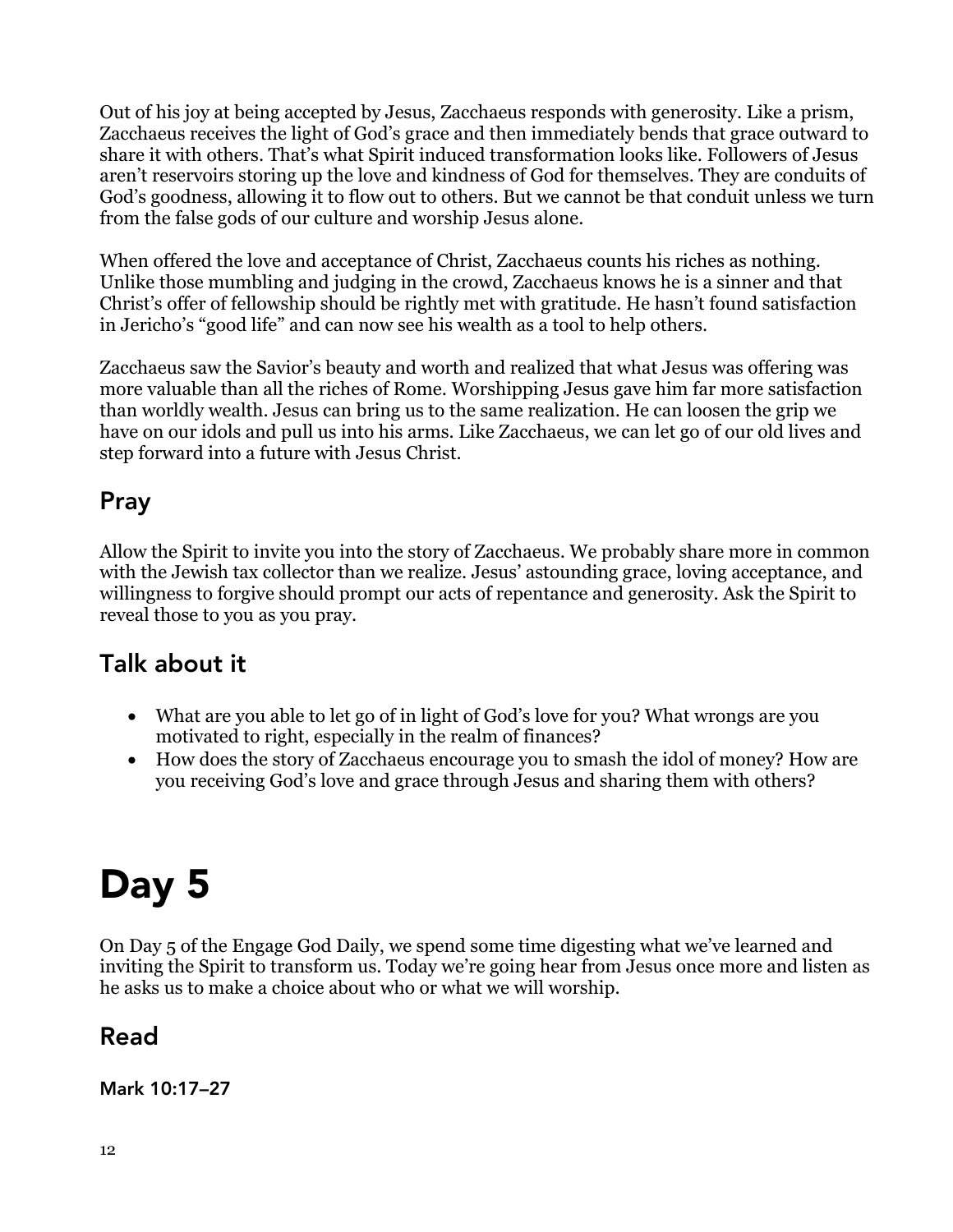Out of his joy at being accepted by Jesus, Zacchaeus responds with generosity. Like a prism, Zacchaeus receives the light of God's grace and then immediately bends that grace outward to share it with others. That's what Spirit induced transformation looks like. Followers of Jesus aren't reservoirs storing up the love and kindness of God for themselves. They are conduits of God's goodness, allowing it to flow out to others. But we cannot be that conduit unless we turn from the false gods of our culture and worship Jesus alone.

When offered the love and acceptance of Christ, Zacchaeus counts his riches as nothing. Unlike those mumbling and judging in the crowd, Zacchaeus knows he is a sinner and that Christ's offer of fellowship should be rightly met with gratitude. He hasn't found satisfaction in Jericho's "good life" and can now see his wealth as a tool to help others.

Zacchaeus saw the Savior's beauty and worth and realized that what Jesus was offering was more valuable than all the riches of Rome. Worshipping Jesus gave him far more satisfaction than worldly wealth. Jesus can bring us to the same realization. He can loosen the grip we have on our idols and pull us into his arms. Like Zacchaeus, we can let go of our old lives and step forward into a future with Jesus Christ.

## Pray

Allow the Spirit to invite you into the story of Zacchaeus. We probably share more in common with the Jewish tax collector than we realize. Jesus' astounding grace, loving acceptance, and willingness to forgive should prompt our acts of repentance and generosity. Ask the Spirit to reveal those to you as you pray.

## Talk about it

- What are you able to let go of in light of God's love for you? What wrongs are you motivated to right, especially in the realm of finances?
- How does the story of Zacchaeus encourage you to smash the idol of money? How are you receiving God's love and grace through Jesus and sharing them with others?

# Day 5

On Day 5 of the Engage God Daily, we spend some time digesting what we've learned and inviting the Spirit to transform us. Today we're going hear from Jesus once more and listen as he asks us to make a choice about who or what we will worship.

## Read

Mark 10:17–27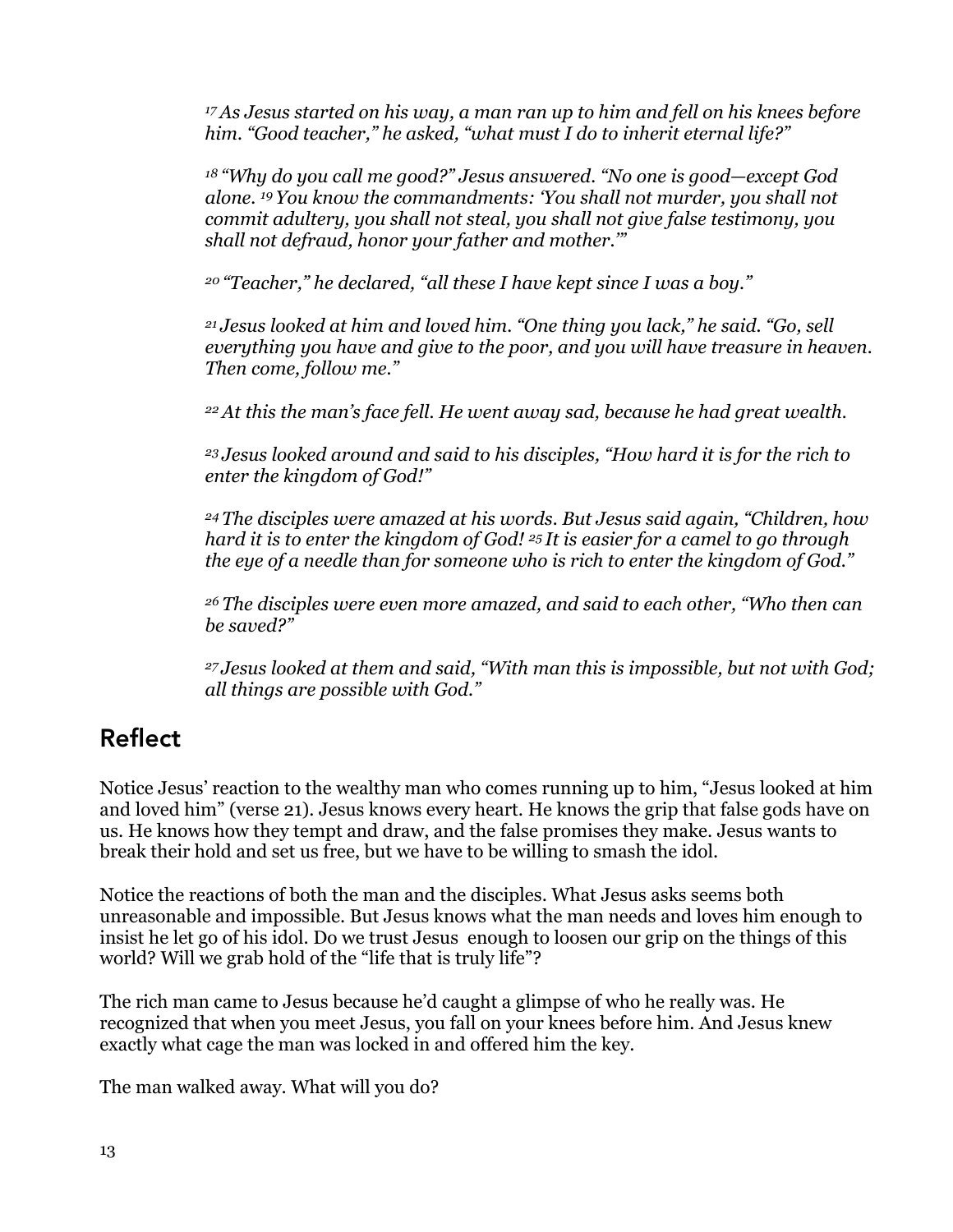*17As Jesus started on his way, a man ran up to him and fell on his knees before him. "Good teacher," he asked, "what must I do to inherit eternal life?"* 

*<sup>18</sup> "Why do you call me good?" Jesus answered. "No one is good—except God alone. 19 You know the commandments: 'You shall not murder, you shall not commit adultery, you shall not steal, you shall not give false testimony, you shall not defraud, honor your father and mother.'"* 

*<sup>20</sup> "Teacher," he declared, "all these I have kept since I was a boy."* 

*<sup>21</sup> Jesus looked at him and loved him. "One thing you lack," he said. "Go, sell everything you have and give to the poor, and you will have treasure in heaven. Then come, follow me."* 

*22At this the man's face fell. He went away sad, because he had great wealth.* 

*<sup>23</sup> Jesus looked around and said to his disciples, "How hard it is for the rich to enter the kingdom of God!"* 

*<sup>24</sup> The disciples were amazed at his words. But Jesus said again, "Children, how hard it is to enter the kingdom of God! 25 It is easier for a camel to go through the eye of a needle than for someone who is rich to enter the kingdom of God."* 

*<sup>26</sup> The disciples were even more amazed, and said to each other, "Who then can be saved?"* 

*<sup>27</sup> Jesus looked at them and said, "With man this is impossible, but not with God; all things are possible with God."* 

## Reflect

Notice Jesus' reaction to the wealthy man who comes running up to him, "Jesus looked at him and loved him" (verse 21). Jesus knows every heart. He knows the grip that false gods have on us. He knows how they tempt and draw, and the false promises they make. Jesus wants to break their hold and set us free, but we have to be willing to smash the idol.

Notice the reactions of both the man and the disciples. What Jesus asks seems both unreasonable and impossible. But Jesus knows what the man needs and loves him enough to insist he let go of his idol. Do we trust Jesus enough to loosen our grip on the things of this world? Will we grab hold of the "life that is truly life"?

The rich man came to Jesus because he'd caught a glimpse of who he really was. He recognized that when you meet Jesus, you fall on your knees before him. And Jesus knew exactly what cage the man was locked in and offered him the key.

The man walked away. What will you do?